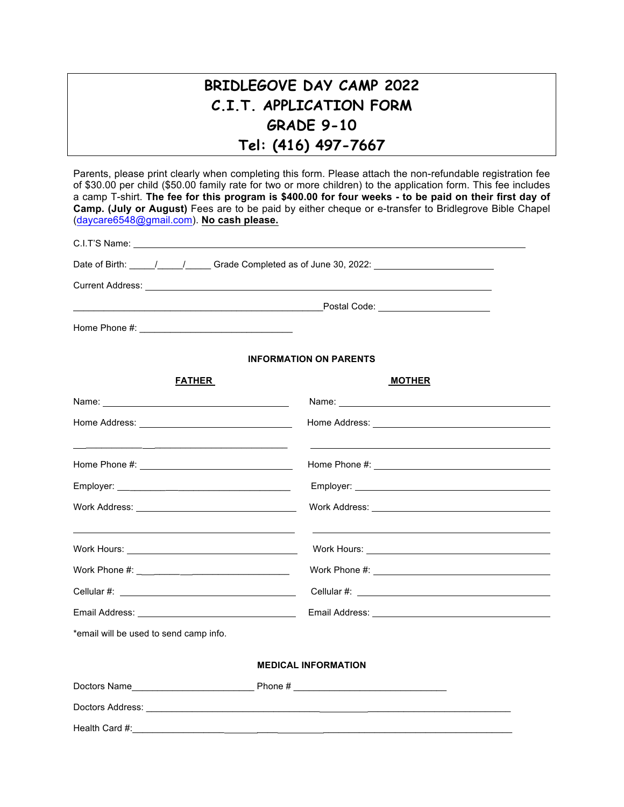# **BRIDLEGOVE DAY CAMP 2022 C.I.T. APPLICATION FORM GRADE 9-10 Tel: (416) 497-7667**

Parents, please print clearly when completing this form. Please attach the non-refundable registration fee of \$30.00 per child (\$50.00 family rate for two or more children) to the application form. This fee includes a camp T-shirt. **The fee for this program is \$400.00 for four weeks - to be paid on their first day of Camp. (July or August)** Fees are to be paid by either cheque or e-transfer to Bridlegrove Bible Chapel (daycare6548@gmail.com). **No cash please.**

|                                                                                                                | Date of Birth: \_____/ _____/ Grade Completed as of June 30, 2022: \________________________________                                                                                                                                 |  |  |  |  |
|----------------------------------------------------------------------------------------------------------------|--------------------------------------------------------------------------------------------------------------------------------------------------------------------------------------------------------------------------------------|--|--|--|--|
|                                                                                                                | Current Address: <u>Carl Andress Communication</u> Current Address Communication Communication Communication Communication                                                                                                           |  |  |  |  |
|                                                                                                                |                                                                                                                                                                                                                                      |  |  |  |  |
|                                                                                                                |                                                                                                                                                                                                                                      |  |  |  |  |
|                                                                                                                | <b>INFORMATION ON PARENTS</b>                                                                                                                                                                                                        |  |  |  |  |
| <b>FATHER</b>                                                                                                  | <b>MOTHER</b>                                                                                                                                                                                                                        |  |  |  |  |
| Name: 2008 2010 2020 2020 2020 2021 2021 2022 2022 2022 2022 2022 2022 2022 2022 2022 2022 2022 2022 2022 2022 | Name: Name and the state of the state of the state of the state of the state of the state of the state of the state of the state of the state of the state of the state of the state of the state of the state of the state of       |  |  |  |  |
|                                                                                                                | Home Address: <u>contract and a series of the series of the series of the series of the series of the series of the series of the series of the series of the series of the series of the series of the series of the series of </u> |  |  |  |  |
|                                                                                                                |                                                                                                                                                                                                                                      |  |  |  |  |
|                                                                                                                |                                                                                                                                                                                                                                      |  |  |  |  |
|                                                                                                                |                                                                                                                                                                                                                                      |  |  |  |  |
|                                                                                                                |                                                                                                                                                                                                                                      |  |  |  |  |
|                                                                                                                |                                                                                                                                                                                                                                      |  |  |  |  |
|                                                                                                                |                                                                                                                                                                                                                                      |  |  |  |  |
|                                                                                                                |                                                                                                                                                                                                                                      |  |  |  |  |
| *email will be used to send camp info.                                                                         |                                                                                                                                                                                                                                      |  |  |  |  |
|                                                                                                                | <b>MEDICAL INFORMATION</b>                                                                                                                                                                                                           |  |  |  |  |
|                                                                                                                |                                                                                                                                                                                                                                      |  |  |  |  |

Health Card #: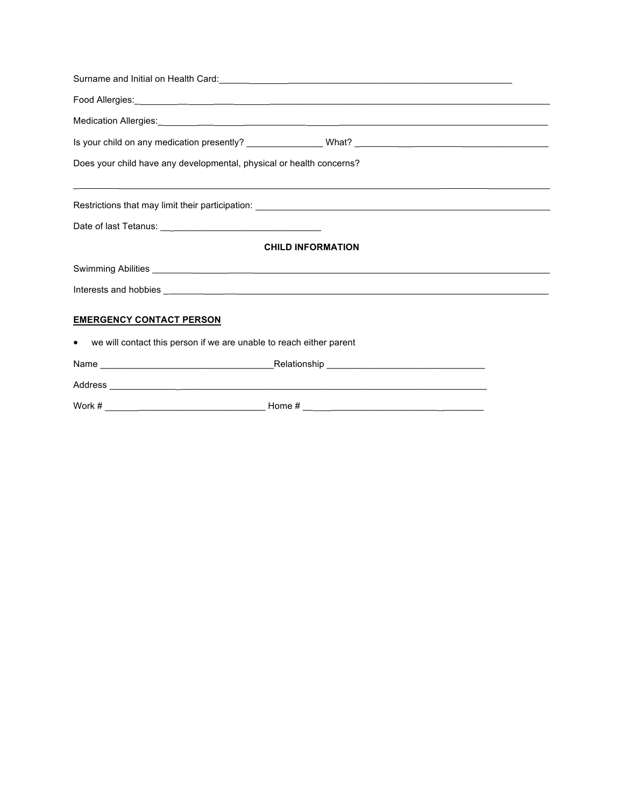|                                                                       | Food Allergies: <u>Allergies: Allergies: Allergies: Allergies: Allergies: Allergies: Allergies: Allergies: Allergies: Allergies: Allergies: Allergies: Allergies: Allergies: Allergies: Allergies: Allergies: Allergies: Allergi</u> |  |
|-----------------------------------------------------------------------|--------------------------------------------------------------------------------------------------------------------------------------------------------------------------------------------------------------------------------------|--|
|                                                                       |                                                                                                                                                                                                                                      |  |
|                                                                       |                                                                                                                                                                                                                                      |  |
| Does your child have any developmental, physical or health concerns?  |                                                                                                                                                                                                                                      |  |
|                                                                       | ,我们也不会有什么?""我们的人,我们也不会有什么?""我们的人,我们也不会有什么?""我们的人,我们也不会有什么?""我们的人,我们也不会有什么?""我们的人<br>Restrictions that may limit their participation: ________________________________                                                                |  |
|                                                                       |                                                                                                                                                                                                                                      |  |
|                                                                       | <b>CHILD INFORMATION</b>                                                                                                                                                                                                             |  |
|                                                                       |                                                                                                                                                                                                                                      |  |
|                                                                       |                                                                                                                                                                                                                                      |  |
| <b>EMERGENCY CONTACT PERSON</b>                                       |                                                                                                                                                                                                                                      |  |
| • we will contact this person if we are unable to reach either parent |                                                                                                                                                                                                                                      |  |
|                                                                       |                                                                                                                                                                                                                                      |  |
|                                                                       |                                                                                                                                                                                                                                      |  |
| Work #                                                                | Home $#$                                                                                                                                                                                                                             |  |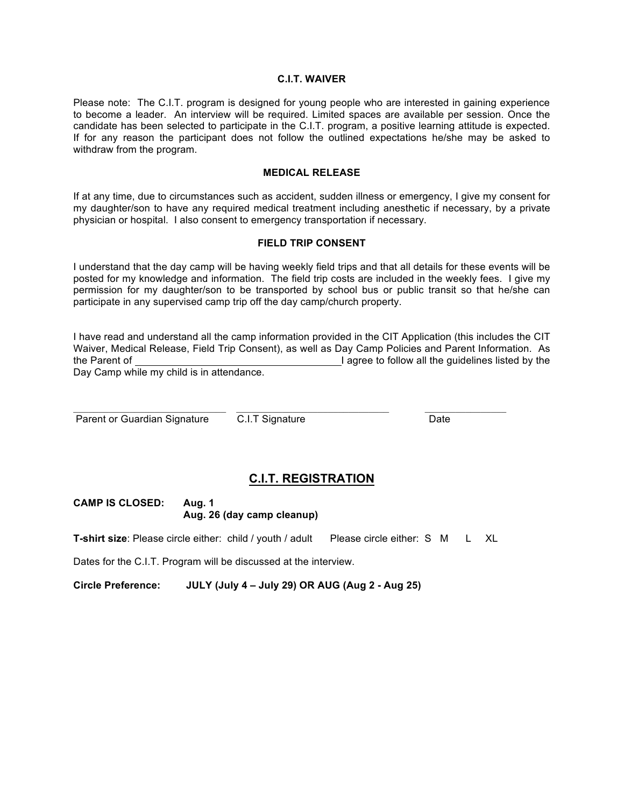#### **C.I.T. WAIVER**

Please note: The C.I.T. program is designed for young people who are interested in gaining experience to become a leader. An interview will be required. Limited spaces are available per session. Once the candidate has been selected to participate in the C.I.T. program, a positive learning attitude is expected. If for any reason the participant does not follow the outlined expectations he/she may be asked to withdraw from the program.

#### **MEDICAL RELEASE**

If at any time, due to circumstances such as accident, sudden illness or emergency, I give my consent for my daughter/son to have any required medical treatment including anesthetic if necessary, by a private physician or hospital. I also consent to emergency transportation if necessary.

#### **FIELD TRIP CONSENT**

I understand that the day camp will be having weekly field trips and that all details for these events will be posted for my knowledge and information. The field trip costs are included in the weekly fees. I give my permission for my daughter/son to be transported by school bus or public transit so that he/she can participate in any supervised camp trip off the day camp/church property.

I have read and understand all the camp information provided in the CIT Application (this includes the CIT Waiver, Medical Release, Field Trip Consent), as well as Day Camp Policies and Parent Information. As the Parent of **I agree to follow all the quidelines listed by the** I agree to follow all the quidelines listed by the Day Camp while my child is in attendance.

Parent or Guardian Signature C.I.T Signature Date

## **C.I.T. REGISTRATION**

**CAMP IS CLOSED: Aug. 1 Aug. 26 (day camp cleanup)**

**T-shirt size**: Please circle either: child / youth / adult Please circle either: S M L XL

Dates for the C.I.T. Program will be discussed at the interview.

**Circle Preference: JULY (July 4 – July 29) OR AUG (Aug 2 - Aug 25)**